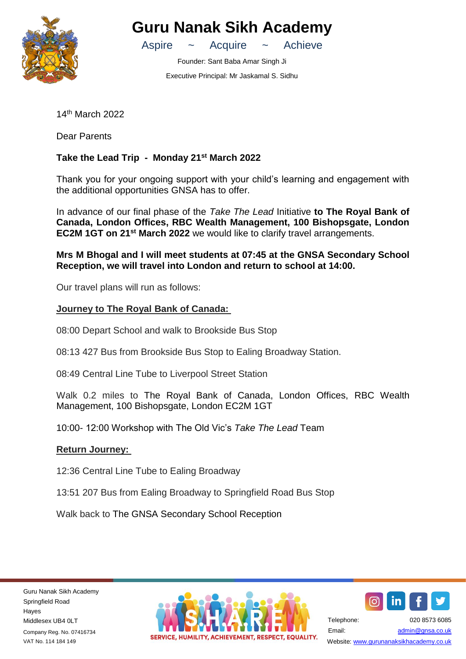

**Guru Nanak Sikh Academy**

Aspire ~ Acquire ~ Achieve

Founder: Sant Baba Amar Singh Ji Executive Principal: Mr Jaskamal S. Sidhu

14th March 2022

Dear Parents

## **Take the Lead Trip - Monday 21st March 2022**

Thank you for your ongoing support with your child's learning and engagement with the additional opportunities GNSA has to offer.

In advance of our final phase of the *Take The Lead* Initiative **to The Royal Bank of Canada, London Offices, RBC Wealth Management, 100 Bishopsgate, London EC2M 1GT on 21st March 2022** we would like to clarify travel arrangements.

**Mrs M Bhogal and I will meet students at 07:45 at the GNSA Secondary School Reception, we will travel into London and return to school at 14:00.**

Our travel plans will run as follows:

## **Journey to The Royal Bank of Canada:**

08:00 Depart School and walk to Brookside Bus Stop

08:13 427 Bus from Brookside Bus Stop to Ealing Broadway Station.

08:49 Central Line Tube to Liverpool Street Station

Walk 0.2 miles to The Royal Bank of Canada, London Offices, RBC Wealth Management, 100 Bishopsgate, London EC2M 1GT

10:00- 12:00 Workshop with The Old Vic's *Take The Lead* Team

## **Return Journey:**

12:36 Central Line Tube to Ealing Broadway

13:51 207 Bus from Ealing Broadway to Springfield Road Bus Stop

Walk back to The GNSA Secondary School Reception

Guru Nanak Sikh Academy Springfield Road Hayes Middlesex UB4 0LT Company Reg. No. 07416734 VAT No. 114 184 149





Telephone: 020 8573 6085 Email: [admin@gnsa.co.uk](mailto:admin@gnsa.co.uk)  Website: www.gurunanaksikhacademy.co.uk